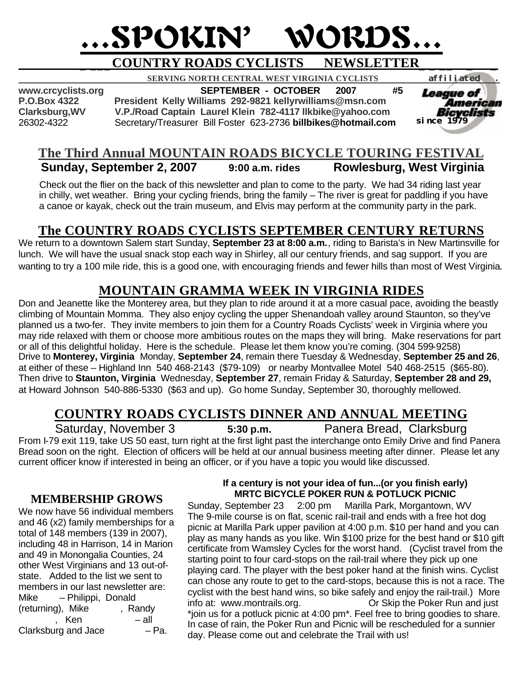# …SPOKIN' WORDS…

# **\_ \_\_\_COUNTRY ROADS CYCLISTS NEWSLETTER\_ \_ \_\_ \_ \_**

 **SERVING NORTH CENTRAL WEST VIRGINIA CYCLISTS** *affiliated .* 

**www.crcyclists.org SEPTEMBER - OCTOBER 2007 #5**

**President Kelly Williams 292-9821 kellyrwilliams@msn.com Clarksburg,WV V.P./Road Captain Laurel Klein 782-4117 llkbike@yahoo.com** 26302-4322 Secretary/Treasurer Bill Foster 623-2736 **billbikes@hotmail.com**



## **The Third Annual MOUNTAIN ROADS BICYCLE TOURING FESTIVAL 9:00 a.m. rides** Rowlesburg, West Virginia

 Check out the flier on the back of this newsletter and plan to come to the party. We had 34 riding last year in chilly, wet weather. Bring your cycling friends, bring the family – The river is great for paddling if you have a canoe or kayak, check out the train museum, and Elvis may perform at the community party in the park.

## **The COUNTRY ROADS CYCLISTS SEPTEMBER CENTURY RETURNS**

We return to a downtown Salem start Sunday, **September 23 at 8:00 a.m.**, riding to Barista's in New Martinsville for lunch. We will have the usual snack stop each way in Shirley, all our century friends, and sag support. If you are wanting to try a 100 mile ride, this is a good one, with encouraging friends and fewer hills than most of West Virginia.

## **MOUNTAIN GRAMMA WEEK IN VIRGINIA RIDES**

Don and Jeanette like the Monterey area, but they plan to ride around it at a more casual pace, avoiding the beastly climbing of Mountain Momma. They also enjoy cycling the upper Shenandoah valley around Staunton, so they've planned us a two-fer. They invite members to join them for a Country Roads Cyclists' week in Virginia where you may ride relaxed with them or choose more ambitious routes on the maps they will bring. Make reservations for part or all of this delightful holiday. Here is the schedule. Please let them know you're coming. (304 599-9258) Drive to **Monterey, Virginia** Monday, **September 24**, remain there Tuesday & Wednesday, **September 25 and 26**, at either of these – Highland Inn 540 468-2143 (\$79-109) or nearby Montvallee Motel 540 468-2515 (\$65-80). Then drive to **Staunton, Virginia** Wednesday, **September 27**, remain Friday & Saturday, **September 28 and 29,**  at Howard Johnson 540-886-5330 (\$63 and up). Go home Sunday, September 30, thoroughly mellowed.

## **COUNTRY ROADS CYCLISTS DINNER AND ANNUAL MEETING**

Saturday, November 3 **5:30 p.m.** Panera Bread, Clarksburg

From I-79 exit 119, take US 50 east, turn right at the first light past the interchange onto Emily Drive and find Panera Bread soon on the right. Election of officers will be held at our annual business meeting after dinner. Please let any current officer know if interested in being an officer, or if you have a topic you would like discussed.

## **MEMBERSHIP GROWS**

We now have 56 individual members and 46 (x2) family memberships for a total of 148 members (139 in 2007), including 48 in Harrison, 14 in Marion and 49 in Monongalia Counties, 24 other West Virginians and 13 out-ofstate. Added to the list we sent to members in our last newsletter are: Mike – Philippi, Donald (returning), Mike , Randy  $\frac{1}{\pi}$  Ken  $\frac{1}{\pi}$  – all  $\frac{1}{\pi}$  – Pa. Clarksburg and Jace

### **If a century is not your idea of fun...(or you finish early) MRTC BICYCLE POKER RUN & POTLUCK PICNIC**

Sunday, September 23 2:00 pm Marilla Park, Morgantown, WV The 9-mile course is on flat, scenic rail-trail and ends with a free hot dog picnic at Marilla Park upper pavilion at 4:00 p.m. \$10 per hand and you can play as many hands as you like. Win \$100 prize for the best hand or \$10 gift certificate from Wamsley Cycles for the worst hand. (Cyclist travel from the starting point to four card-stops on the rail-trail where they pick up one playing card. The player with the best poker hand at the finish wins. Cyclist can chose any route to get to the card-stops, because this is not a race. The cyclist with the best hand wins, so bike safely and enjoy the rail-trail.) More info at: www.montrails.org. Or Skip the Poker Run and just \*join us for a potluck picnic at 4:00 pm\*. Feel free to bring goodies to share. In case of rain, the Poker Run and Picnic will be rescheduled for a sunnier day. Please come out and celebrate the Trail with us!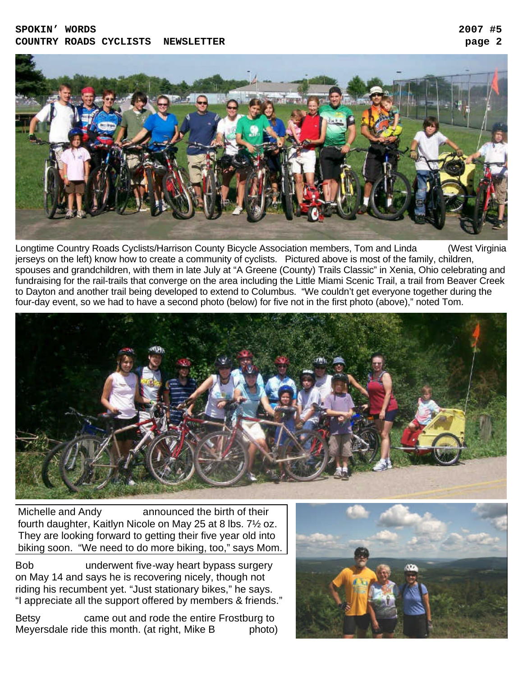#### **SPOKIN' WORDS 2007 #5 COUNTRY ROADS CYCLISTS NEWSLETTER page 2**



Longtime Country Roads Cyclists/Harrison County Bicycle Association members, Tom and Linda (West Virginia jerseys on the left) know how to create a community of cyclists. Pictured above is most of the family, children, spouses and grandchildren, with them in late July at "A Greene (County) Trails Classic" in Xenia, Ohio celebrating and fundraising for the rail-trails that converge on the area including the Little Miami Scenic Trail, a trail from Beaver Creek to Dayton and another trail being developed to extend to Columbus. "We couldn't get everyone together during the four-day event, so we had to have a second photo (below) for five not in the first photo (above)," noted Tom.



Michelle and Andy announced the birth of their fourth daughter, Kaitlyn Nicole on May 25 at 8 lbs. 7½ oz. They are looking forward to getting their five year old into biking soon. "We need to do more biking, too," says Mom.

Bob **Strong** underwent five-way heart bypass surgery on May 14 and says he is recovering nicely, though not riding his recumbent yet. "Just stationary bikes," he says. "I appreciate all the support offered by members & friends."

Betsy came out and rode the entire Frostburg to Meyersdale ride this month. (at right, Mike B photo)

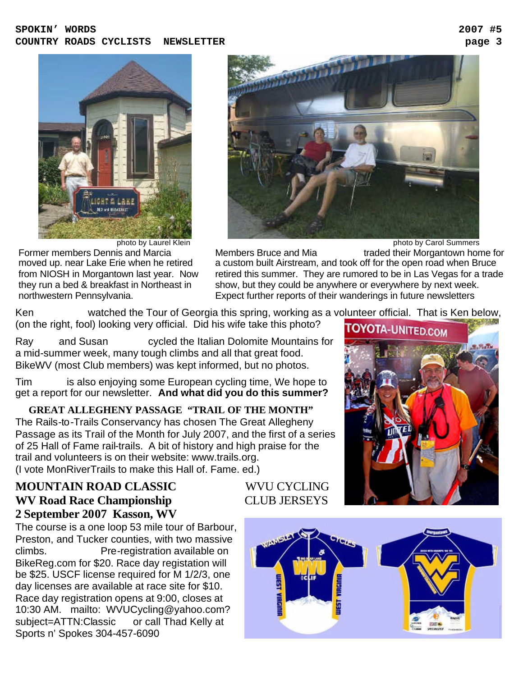#### **SPOKIN' WORDS 2007 #5 COUNTRY ROADS CYCLISTS NEWSLETTER page 3**





Former members Dennis and Marcia moved up. near Lake Erie when he retired from NIOSH in Morgantown last year. Now they run a bed & breakfast in Northeast in northwestern Pennsylvania.

Members Bruce and Mia Summers traded their Morgantown home for a custom built Airstream, and took off for the open road when Bruce retired this summer. They are rumored to be in Las Vegas for a trade show, but they could be anywhere or everywhere by next week. Expect further reports of their wanderings in future newsletters

Ken **Parkington watched the Tour of Georgia this spring, working as a volunteer official. That is Ken below,** (on the right, fool) looking very official. Did his wife take this photo?

Ray and Susan cycled the Italian Dolomite Mountains for a mid-summer week, many tough climbs and all that great food. BikeWV (most Club members) was kept informed, but no photos.

Tim is also enjoying some European cycling time, We hope to get a report for our newsletter. **And what did you do this summer?**

 **GREAT ALLEGHENY PASSAGE "TRAIL OF THE MONTH"** The Rails-to-Trails Conservancy has chosen The Great Allegheny Passage as its Trail of the Month for July 2007, and the first of a series of 25 Hall of Fame rail-trails. A bit of history and high praise for the trail and volunteers is on their website: www.trails.org. (I vote MonRiverTrails to make this Hall of. Fame. ed.)

## **MOUNTAIN ROAD CLASSIC** WVU CYCLING **WV Road Race Championship CLUB JERSEYS 2 September 2007 Kasson, WV**

The course is a one loop 53 mile tour of Barbour, Preston, and Tucker counties, with two massive climbs. Pre-registration available on BikeReg.com for \$20. Race day registation will be \$25. USCF license required for M 1/2/3, one day licenses are available at race site for \$10. Race day registration opens at 9:00, closes at 10:30 AM. mailto: WVUCycling@yahoo.com? subject=ATTN:Classic or call Thad Kelly at Sports n' Spokes 304-457-6090